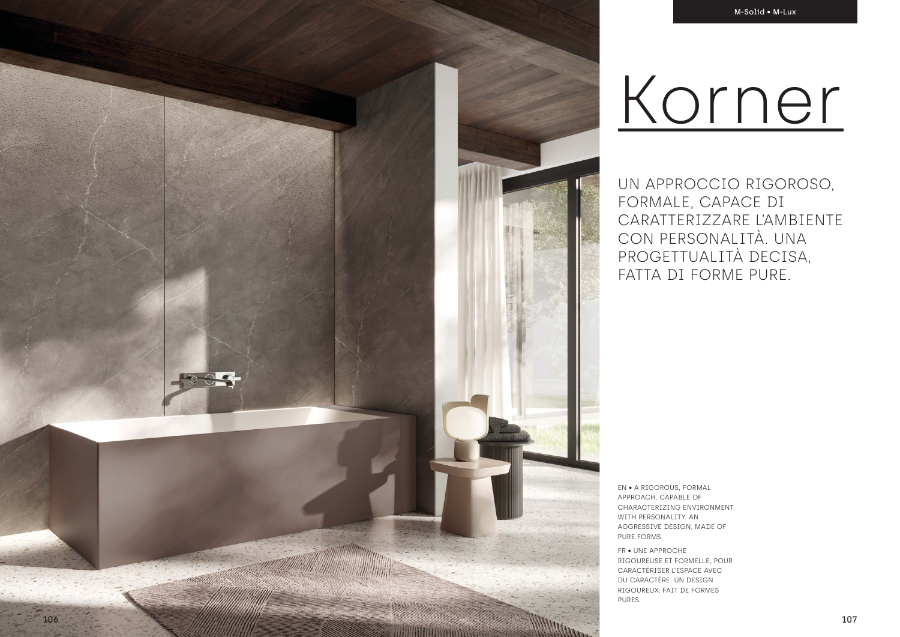UN APPROCCIO RIGOROSO, FORMALE, CAPACE DI CARATTERIZZARE L'AMBIENTE CON PERSONALITÀ. UNA PROGETTUALITÀ DECISA, FATTA DI FORME PURE.

EN • A RIGOROUS, FORMAL APPROACH, CAPABLE OF CHARACTERIZING ENVIRONMENT WITH PERSONALITY. AN AGGRESSIVE DESIGN, MADE OF PURE FORMS.

FR • UNE APPROCHE RIGOUREUSE ET FORMELLE, POUR CARACTÉRISER L'ESPACE AVEC DU CARACTÈRE. UN DESIGN RIGOUREUX, FAIT DE FORMES PURES.

# Korner